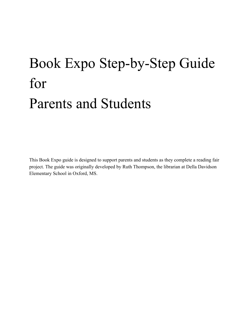## Book Expo Step-by-Step Guide for Parents and Students

This Book Expo guide is designed to support parents and students as they complete a reading fair project. The guide was originally developed by Ruth Thompson, the librarian at Della Davidson Elementary School in Oxford, MS.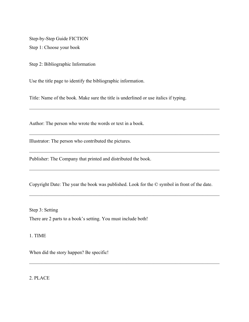Step-by-Step Guide FICTION Step 1: Choose your book

Step 2: Bibliographic Information

Use the title page to identify the bibliographic information.

Title: Name of the book. Make sure the title is underlined or use italics if typing.

 $\mathcal{L}_\mathcal{L} = \{ \mathcal{L}_\mathcal{L} = \{ \mathcal{L}_\mathcal{L} = \{ \mathcal{L}_\mathcal{L} = \{ \mathcal{L}_\mathcal{L} = \{ \mathcal{L}_\mathcal{L} = \{ \mathcal{L}_\mathcal{L} = \{ \mathcal{L}_\mathcal{L} = \{ \mathcal{L}_\mathcal{L} = \{ \mathcal{L}_\mathcal{L} = \{ \mathcal{L}_\mathcal{L} = \{ \mathcal{L}_\mathcal{L} = \{ \mathcal{L}_\mathcal{L} = \{ \mathcal{L}_\mathcal{L} = \{ \mathcal{L}_\mathcal{$ 

 $\mathcal{L}_\mathcal{L} = \{ \mathcal{L}_\mathcal{L} = \{ \mathcal{L}_\mathcal{L} = \{ \mathcal{L}_\mathcal{L} = \{ \mathcal{L}_\mathcal{L} = \{ \mathcal{L}_\mathcal{L} = \{ \mathcal{L}_\mathcal{L} = \{ \mathcal{L}_\mathcal{L} = \{ \mathcal{L}_\mathcal{L} = \{ \mathcal{L}_\mathcal{L} = \{ \mathcal{L}_\mathcal{L} = \{ \mathcal{L}_\mathcal{L} = \{ \mathcal{L}_\mathcal{L} = \{ \mathcal{L}_\mathcal{L} = \{ \mathcal{L}_\mathcal{$ 

 $\mathcal{L}_\mathcal{L} = \{ \mathcal{L}_\mathcal{L} = \{ \mathcal{L}_\mathcal{L} = \{ \mathcal{L}_\mathcal{L} = \{ \mathcal{L}_\mathcal{L} = \{ \mathcal{L}_\mathcal{L} = \{ \mathcal{L}_\mathcal{L} = \{ \mathcal{L}_\mathcal{L} = \{ \mathcal{L}_\mathcal{L} = \{ \mathcal{L}_\mathcal{L} = \{ \mathcal{L}_\mathcal{L} = \{ \mathcal{L}_\mathcal{L} = \{ \mathcal{L}_\mathcal{L} = \{ \mathcal{L}_\mathcal{L} = \{ \mathcal{L}_\mathcal{$ 

 $\mathcal{L}_\mathcal{L} = \{ \mathcal{L}_\mathcal{L} = \{ \mathcal{L}_\mathcal{L} = \{ \mathcal{L}_\mathcal{L} = \{ \mathcal{L}_\mathcal{L} = \{ \mathcal{L}_\mathcal{L} = \{ \mathcal{L}_\mathcal{L} = \{ \mathcal{L}_\mathcal{L} = \{ \mathcal{L}_\mathcal{L} = \{ \mathcal{L}_\mathcal{L} = \{ \mathcal{L}_\mathcal{L} = \{ \mathcal{L}_\mathcal{L} = \{ \mathcal{L}_\mathcal{L} = \{ \mathcal{L}_\mathcal{L} = \{ \mathcal{L}_\mathcal{$ 

 $\mathcal{L}_\mathcal{L} = \{ \mathcal{L}_\mathcal{L} = \{ \mathcal{L}_\mathcal{L} = \{ \mathcal{L}_\mathcal{L} = \{ \mathcal{L}_\mathcal{L} = \{ \mathcal{L}_\mathcal{L} = \{ \mathcal{L}_\mathcal{L} = \{ \mathcal{L}_\mathcal{L} = \{ \mathcal{L}_\mathcal{L} = \{ \mathcal{L}_\mathcal{L} = \{ \mathcal{L}_\mathcal{L} = \{ \mathcal{L}_\mathcal{L} = \{ \mathcal{L}_\mathcal{L} = \{ \mathcal{L}_\mathcal{L} = \{ \mathcal{L}_\mathcal{$ 

 $\mathcal{L}_\mathcal{L} = \{ \mathcal{L}_\mathcal{L} = \{ \mathcal{L}_\mathcal{L} = \{ \mathcal{L}_\mathcal{L} = \{ \mathcal{L}_\mathcal{L} = \{ \mathcal{L}_\mathcal{L} = \{ \mathcal{L}_\mathcal{L} = \{ \mathcal{L}_\mathcal{L} = \{ \mathcal{L}_\mathcal{L} = \{ \mathcal{L}_\mathcal{L} = \{ \mathcal{L}_\mathcal{L} = \{ \mathcal{L}_\mathcal{L} = \{ \mathcal{L}_\mathcal{L} = \{ \mathcal{L}_\mathcal{L} = \{ \mathcal{L}_\mathcal{$ 

Author: The person who wrote the words or text in a book.

Illustrator: The person who contributed the pictures.

Publisher: The Company that printed and distributed the book.

Copyright Date: The year the book was published. Look for the © symbol in front of the date.

Step 3: Setting There are 2 parts to a book's setting. You must include both!

1. TIME

When did the story happen? Be specific!

2. PLACE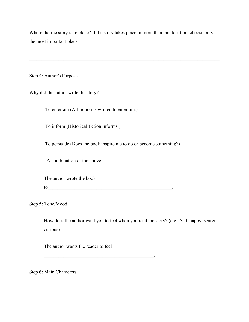Where did the story take place? If the story takes place in more than one location, choose only the most important place.

 $\mathcal{L}_\mathcal{L} = \{ \mathcal{L}_\mathcal{L} = \{ \mathcal{L}_\mathcal{L} = \{ \mathcal{L}_\mathcal{L} = \{ \mathcal{L}_\mathcal{L} = \{ \mathcal{L}_\mathcal{L} = \{ \mathcal{L}_\mathcal{L} = \{ \mathcal{L}_\mathcal{L} = \{ \mathcal{L}_\mathcal{L} = \{ \mathcal{L}_\mathcal{L} = \{ \mathcal{L}_\mathcal{L} = \{ \mathcal{L}_\mathcal{L} = \{ \mathcal{L}_\mathcal{L} = \{ \mathcal{L}_\mathcal{L} = \{ \mathcal{L}_\mathcal{$ 

Step 4: Author's Purpose

Why did the author write the story?

To entertain (All fiction is written to entertain.)

To inform (Historical fiction informs.)

To persuade (Does the book inspire me to do or become something?)

A combination of the above

The author wrote the book

to\_\_\_\_\_\_\_\_\_\_\_\_\_\_\_\_\_\_\_\_\_\_\_\_\_\_\_\_\_\_\_\_\_\_\_\_\_\_\_\_\_\_\_\_\_\_\_\_\_\_\_.

 $\mathcal{L}_\text{max}$  and  $\mathcal{L}_\text{max}$  and  $\mathcal{L}_\text{max}$  and  $\mathcal{L}_\text{max}$  and  $\mathcal{L}_\text{max}$ 

Step 5: Tone/Mood

How does the author want you to feel when you read the story? (e.g., Sad, happy, scared, curious)

The author wants the reader to feel

Step 6: Main Characters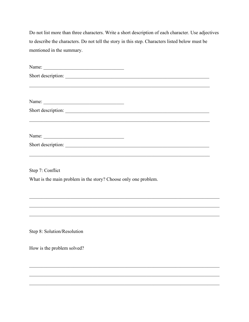Do not list more than three characters. Write a short description of each character. Use adjectives to describe the characters. Do not tell the story in this step. Characters listed below must be mentioned in the summary.

| Short description:                                              |
|-----------------------------------------------------------------|
|                                                                 |
|                                                                 |
| Short description:                                              |
|                                                                 |
|                                                                 |
| Short description:                                              |
| Step 7: Conflict                                                |
| What is the main problem in the story? Choose only one problem. |
|                                                                 |
|                                                                 |
| Step 8: Solution/Resolution                                     |
| How is the problem solved?                                      |
|                                                                 |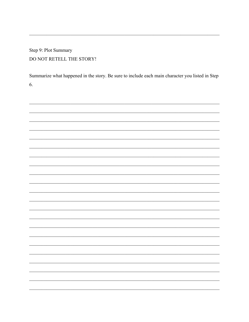Step 9: Plot Summary DO NOT RETELL THE STORY!

Summarize what happened in the story. Be sure to include each main character you listed in Step 6.

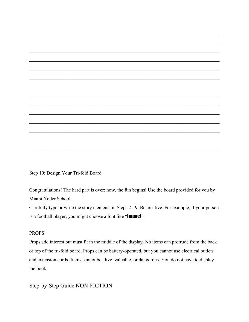Step 10: Design Your Tri-fold Board

Congratulations! The hard part is over; now, the fun begins! Use the board provided for you by Miami Yoder School.

 $\mathcal{L}_\mathcal{L} = \{ \mathcal{L}_\mathcal{L} = \{ \mathcal{L}_\mathcal{L} = \{ \mathcal{L}_\mathcal{L} = \{ \mathcal{L}_\mathcal{L} = \{ \mathcal{L}_\mathcal{L} = \{ \mathcal{L}_\mathcal{L} = \{ \mathcal{L}_\mathcal{L} = \{ \mathcal{L}_\mathcal{L} = \{ \mathcal{L}_\mathcal{L} = \{ \mathcal{L}_\mathcal{L} = \{ \mathcal{L}_\mathcal{L} = \{ \mathcal{L}_\mathcal{L} = \{ \mathcal{L}_\mathcal{L} = \{ \mathcal{L}_\mathcal{$ 

 $\mathcal{L}_\mathcal{L} = \{ \mathcal{L}_\mathcal{L} = \{ \mathcal{L}_\mathcal{L} = \{ \mathcal{L}_\mathcal{L} = \{ \mathcal{L}_\mathcal{L} = \{ \mathcal{L}_\mathcal{L} = \{ \mathcal{L}_\mathcal{L} = \{ \mathcal{L}_\mathcal{L} = \{ \mathcal{L}_\mathcal{L} = \{ \mathcal{L}_\mathcal{L} = \{ \mathcal{L}_\mathcal{L} = \{ \mathcal{L}_\mathcal{L} = \{ \mathcal{L}_\mathcal{L} = \{ \mathcal{L}_\mathcal{L} = \{ \mathcal{L}_\mathcal{$ 

 $\mathcal{L}_\mathcal{L} = \{ \mathcal{L}_\mathcal{L} = \{ \mathcal{L}_\mathcal{L} = \{ \mathcal{L}_\mathcal{L} = \{ \mathcal{L}_\mathcal{L} = \{ \mathcal{L}_\mathcal{L} = \{ \mathcal{L}_\mathcal{L} = \{ \mathcal{L}_\mathcal{L} = \{ \mathcal{L}_\mathcal{L} = \{ \mathcal{L}_\mathcal{L} = \{ \mathcal{L}_\mathcal{L} = \{ \mathcal{L}_\mathcal{L} = \{ \mathcal{L}_\mathcal{L} = \{ \mathcal{L}_\mathcal{L} = \{ \mathcal{L}_\mathcal{$ 

 $\mathcal{L}_\mathcal{L} = \{ \mathcal{L}_\mathcal{L} = \{ \mathcal{L}_\mathcal{L} = \{ \mathcal{L}_\mathcal{L} = \{ \mathcal{L}_\mathcal{L} = \{ \mathcal{L}_\mathcal{L} = \{ \mathcal{L}_\mathcal{L} = \{ \mathcal{L}_\mathcal{L} = \{ \mathcal{L}_\mathcal{L} = \{ \mathcal{L}_\mathcal{L} = \{ \mathcal{L}_\mathcal{L} = \{ \mathcal{L}_\mathcal{L} = \{ \mathcal{L}_\mathcal{L} = \{ \mathcal{L}_\mathcal{L} = \{ \mathcal{L}_\mathcal{$ 

 $\mathcal{L}_\mathcal{L} = \{ \mathcal{L}_\mathcal{L} = \{ \mathcal{L}_\mathcal{L} = \{ \mathcal{L}_\mathcal{L} = \{ \mathcal{L}_\mathcal{L} = \{ \mathcal{L}_\mathcal{L} = \{ \mathcal{L}_\mathcal{L} = \{ \mathcal{L}_\mathcal{L} = \{ \mathcal{L}_\mathcal{L} = \{ \mathcal{L}_\mathcal{L} = \{ \mathcal{L}_\mathcal{L} = \{ \mathcal{L}_\mathcal{L} = \{ \mathcal{L}_\mathcal{L} = \{ \mathcal{L}_\mathcal{L} = \{ \mathcal{L}_\mathcal{$ 

 $\mathcal{L}_\mathcal{L} = \{ \mathcal{L}_\mathcal{L} = \{ \mathcal{L}_\mathcal{L} = \{ \mathcal{L}_\mathcal{L} = \{ \mathcal{L}_\mathcal{L} = \{ \mathcal{L}_\mathcal{L} = \{ \mathcal{L}_\mathcal{L} = \{ \mathcal{L}_\mathcal{L} = \{ \mathcal{L}_\mathcal{L} = \{ \mathcal{L}_\mathcal{L} = \{ \mathcal{L}_\mathcal{L} = \{ \mathcal{L}_\mathcal{L} = \{ \mathcal{L}_\mathcal{L} = \{ \mathcal{L}_\mathcal{L} = \{ \mathcal{L}_\mathcal{$ 

 $\mathcal{L}_\mathcal{L} = \{ \mathcal{L}_\mathcal{L} = \{ \mathcal{L}_\mathcal{L} = \{ \mathcal{L}_\mathcal{L} = \{ \mathcal{L}_\mathcal{L} = \{ \mathcal{L}_\mathcal{L} = \{ \mathcal{L}_\mathcal{L} = \{ \mathcal{L}_\mathcal{L} = \{ \mathcal{L}_\mathcal{L} = \{ \mathcal{L}_\mathcal{L} = \{ \mathcal{L}_\mathcal{L} = \{ \mathcal{L}_\mathcal{L} = \{ \mathcal{L}_\mathcal{L} = \{ \mathcal{L}_\mathcal{L} = \{ \mathcal{L}_\mathcal{$ 

 $\mathcal{L}_\mathcal{L} = \{ \mathcal{L}_\mathcal{L} = \{ \mathcal{L}_\mathcal{L} = \{ \mathcal{L}_\mathcal{L} = \{ \mathcal{L}_\mathcal{L} = \{ \mathcal{L}_\mathcal{L} = \{ \mathcal{L}_\mathcal{L} = \{ \mathcal{L}_\mathcal{L} = \{ \mathcal{L}_\mathcal{L} = \{ \mathcal{L}_\mathcal{L} = \{ \mathcal{L}_\mathcal{L} = \{ \mathcal{L}_\mathcal{L} = \{ \mathcal{L}_\mathcal{L} = \{ \mathcal{L}_\mathcal{L} = \{ \mathcal{L}_\mathcal{$ 

 $\mathcal{L}_\mathcal{L} = \{ \mathcal{L}_\mathcal{L} = \{ \mathcal{L}_\mathcal{L} = \{ \mathcal{L}_\mathcal{L} = \{ \mathcal{L}_\mathcal{L} = \{ \mathcal{L}_\mathcal{L} = \{ \mathcal{L}_\mathcal{L} = \{ \mathcal{L}_\mathcal{L} = \{ \mathcal{L}_\mathcal{L} = \{ \mathcal{L}_\mathcal{L} = \{ \mathcal{L}_\mathcal{L} = \{ \mathcal{L}_\mathcal{L} = \{ \mathcal{L}_\mathcal{L} = \{ \mathcal{L}_\mathcal{L} = \{ \mathcal{L}_\mathcal{$ 

 $\mathcal{L}_\mathcal{L} = \{ \mathcal{L}_\mathcal{L} = \{ \mathcal{L}_\mathcal{L} = \{ \mathcal{L}_\mathcal{L} = \{ \mathcal{L}_\mathcal{L} = \{ \mathcal{L}_\mathcal{L} = \{ \mathcal{L}_\mathcal{L} = \{ \mathcal{L}_\mathcal{L} = \{ \mathcal{L}_\mathcal{L} = \{ \mathcal{L}_\mathcal{L} = \{ \mathcal{L}_\mathcal{L} = \{ \mathcal{L}_\mathcal{L} = \{ \mathcal{L}_\mathcal{L} = \{ \mathcal{L}_\mathcal{L} = \{ \mathcal{L}_\mathcal{$ 

 $\mathcal{L}_\mathcal{L} = \{ \mathcal{L}_\mathcal{L} = \{ \mathcal{L}_\mathcal{L} = \{ \mathcal{L}_\mathcal{L} = \{ \mathcal{L}_\mathcal{L} = \{ \mathcal{L}_\mathcal{L} = \{ \mathcal{L}_\mathcal{L} = \{ \mathcal{L}_\mathcal{L} = \{ \mathcal{L}_\mathcal{L} = \{ \mathcal{L}_\mathcal{L} = \{ \mathcal{L}_\mathcal{L} = \{ \mathcal{L}_\mathcal{L} = \{ \mathcal{L}_\mathcal{L} = \{ \mathcal{L}_\mathcal{L} = \{ \mathcal{L}_\mathcal{$ 

 $\mathcal{L}_\mathcal{L} = \{ \mathcal{L}_\mathcal{L} = \{ \mathcal{L}_\mathcal{L} = \{ \mathcal{L}_\mathcal{L} = \{ \mathcal{L}_\mathcal{L} = \{ \mathcal{L}_\mathcal{L} = \{ \mathcal{L}_\mathcal{L} = \{ \mathcal{L}_\mathcal{L} = \{ \mathcal{L}_\mathcal{L} = \{ \mathcal{L}_\mathcal{L} = \{ \mathcal{L}_\mathcal{L} = \{ \mathcal{L}_\mathcal{L} = \{ \mathcal{L}_\mathcal{L} = \{ \mathcal{L}_\mathcal{L} = \{ \mathcal{L}_\mathcal{$ 

 $\mathcal{L}_\mathcal{L} = \{ \mathcal{L}_\mathcal{L} = \{ \mathcal{L}_\mathcal{L} = \{ \mathcal{L}_\mathcal{L} = \{ \mathcal{L}_\mathcal{L} = \{ \mathcal{L}_\mathcal{L} = \{ \mathcal{L}_\mathcal{L} = \{ \mathcal{L}_\mathcal{L} = \{ \mathcal{L}_\mathcal{L} = \{ \mathcal{L}_\mathcal{L} = \{ \mathcal{L}_\mathcal{L} = \{ \mathcal{L}_\mathcal{L} = \{ \mathcal{L}_\mathcal{L} = \{ \mathcal{L}_\mathcal{L} = \{ \mathcal{L}_\mathcal{$ 

 $\mathcal{L}_\mathcal{L} = \{ \mathcal{L}_\mathcal{L} = \{ \mathcal{L}_\mathcal{L} = \{ \mathcal{L}_\mathcal{L} = \{ \mathcal{L}_\mathcal{L} = \{ \mathcal{L}_\mathcal{L} = \{ \mathcal{L}_\mathcal{L} = \{ \mathcal{L}_\mathcal{L} = \{ \mathcal{L}_\mathcal{L} = \{ \mathcal{L}_\mathcal{L} = \{ \mathcal{L}_\mathcal{L} = \{ \mathcal{L}_\mathcal{L} = \{ \mathcal{L}_\mathcal{L} = \{ \mathcal{L}_\mathcal{L} = \{ \mathcal{L}_\mathcal{$ 

Carefully type or write the story elements in Steps 2 - 9. Be creative. For example, if your person is a football player, you might choose a font like "Impact".

## PROPS

Props add interest but must fit in the middle of the display. No items can protrude from the back or top of the tri-fold board. Props can be battery-operated, but you cannot use electrical outlets and extension cords. Items cannot be alive, valuable, or dangerous. You do not have to display the book.

Step-by-Step Guide NON-FICTION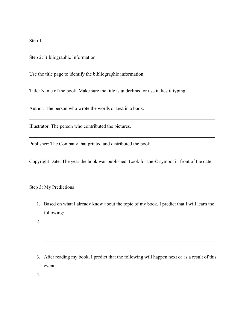Step 1:

Step 2: Bibliographic Information

Use the title page to identify the bibliographic information.

Title: Name of the book. Make sure the title is underlined or use italics if typing.

Author: The person who wrote the words or text in a book.

Illustrator: The person who contributed the pictures.

Publisher: The Company that printed and distributed the book.

Copyright Date: The year the book was published. Look for the © symbol in front of the date.

 $\mathcal{L}_\text{max}$  , and the contribution of the contribution of the contribution of the contribution of the contribution of

 $\mathcal{L}_\text{max}$  , and the contribution of the contribution of the contribution of the contribution of the contribution of

 $\mathcal{L}_\text{max}$  , and the contribution of the contribution of the contribution of the contribution of the contribution of

 $\mathcal{L}_\text{max}$  , and the contribution of the contribution of the contribution of the contribution of the contribution of

 $\mathcal{L}_\text{max}$  , and the contribution of the contribution of the contribution of the contribution of the contribution of

Step 3: My Predictions

- 1. Based on what I already know about the topic of my book, I predict that I will learn the following:
- 2. \_\_\_\_\_\_\_\_\_\_\_\_\_\_\_\_\_\_\_\_\_\_\_\_\_\_\_\_\_\_\_\_\_\_\_\_\_\_\_\_\_\_\_\_\_\_\_\_\_\_\_\_\_\_\_\_\_\_\_\_\_\_\_\_\_\_\_\_\_\_\_\_
- 3. After reading my book, I predict that the following will happen next or as a result of this event:

 $\mathcal{L}_\text{max}$  , and the contribution of the contribution of the contribution of the contribution of the contribution of the contribution of the contribution of the contribution of the contribution of the contribution of t

 $\mathcal{L}_\text{max}$  , and the contribution of the contribution of the contribution of the contribution of the contribution of the contribution of the contribution of the contribution of the contribution of the contribution of t

4.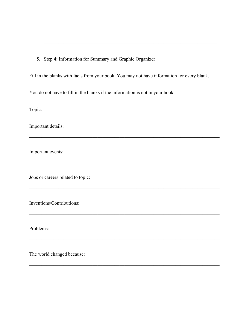5. Step 4: Information for Summary and Graphic Organizer

Fill in the blanks with facts from your book. You may not have information for every blank.

 $\mathcal{L}_\mathcal{L} = \{ \mathcal{L}_\mathcal{L} = \{ \mathcal{L}_\mathcal{L} = \{ \mathcal{L}_\mathcal{L} = \{ \mathcal{L}_\mathcal{L} = \{ \mathcal{L}_\mathcal{L} = \{ \mathcal{L}_\mathcal{L} = \{ \mathcal{L}_\mathcal{L} = \{ \mathcal{L}_\mathcal{L} = \{ \mathcal{L}_\mathcal{L} = \{ \mathcal{L}_\mathcal{L} = \{ \mathcal{L}_\mathcal{L} = \{ \mathcal{L}_\mathcal{L} = \{ \mathcal{L}_\mathcal{L} = \{ \mathcal{L}_\mathcal{$ 

 $\mathcal{L}_\mathcal{L} = \{ \mathcal{L}_\mathcal{L} = \{ \mathcal{L}_\mathcal{L} = \{ \mathcal{L}_\mathcal{L} = \{ \mathcal{L}_\mathcal{L} = \{ \mathcal{L}_\mathcal{L} = \{ \mathcal{L}_\mathcal{L} = \{ \mathcal{L}_\mathcal{L} = \{ \mathcal{L}_\mathcal{L} = \{ \mathcal{L}_\mathcal{L} = \{ \mathcal{L}_\mathcal{L} = \{ \mathcal{L}_\mathcal{L} = \{ \mathcal{L}_\mathcal{L} = \{ \mathcal{L}_\mathcal{L} = \{ \mathcal{L}_\mathcal{$ 

 $\mathcal{L}_\mathcal{L} = \{ \mathcal{L}_\mathcal{L} = \{ \mathcal{L}_\mathcal{L} = \{ \mathcal{L}_\mathcal{L} = \{ \mathcal{L}_\mathcal{L} = \{ \mathcal{L}_\mathcal{L} = \{ \mathcal{L}_\mathcal{L} = \{ \mathcal{L}_\mathcal{L} = \{ \mathcal{L}_\mathcal{L} = \{ \mathcal{L}_\mathcal{L} = \{ \mathcal{L}_\mathcal{L} = \{ \mathcal{L}_\mathcal{L} = \{ \mathcal{L}_\mathcal{L} = \{ \mathcal{L}_\mathcal{L} = \{ \mathcal{L}_\mathcal{$ 

 $\mathcal{L}_\mathcal{L} = \{ \mathcal{L}_\mathcal{L} = \{ \mathcal{L}_\mathcal{L} = \{ \mathcal{L}_\mathcal{L} = \{ \mathcal{L}_\mathcal{L} = \{ \mathcal{L}_\mathcal{L} = \{ \mathcal{L}_\mathcal{L} = \{ \mathcal{L}_\mathcal{L} = \{ \mathcal{L}_\mathcal{L} = \{ \mathcal{L}_\mathcal{L} = \{ \mathcal{L}_\mathcal{L} = \{ \mathcal{L}_\mathcal{L} = \{ \mathcal{L}_\mathcal{L} = \{ \mathcal{L}_\mathcal{L} = \{ \mathcal{L}_\mathcal{$ 

 $\mathcal{L}_\mathcal{L} = \{ \mathcal{L}_\mathcal{L} = \{ \mathcal{L}_\mathcal{L} = \{ \mathcal{L}_\mathcal{L} = \{ \mathcal{L}_\mathcal{L} = \{ \mathcal{L}_\mathcal{L} = \{ \mathcal{L}_\mathcal{L} = \{ \mathcal{L}_\mathcal{L} = \{ \mathcal{L}_\mathcal{L} = \{ \mathcal{L}_\mathcal{L} = \{ \mathcal{L}_\mathcal{L} = \{ \mathcal{L}_\mathcal{L} = \{ \mathcal{L}_\mathcal{L} = \{ \mathcal{L}_\mathcal{L} = \{ \mathcal{L}_\mathcal{$ 

 $\mathcal{L}_\mathcal{L} = \{ \mathcal{L}_\mathcal{L} = \{ \mathcal{L}_\mathcal{L} = \{ \mathcal{L}_\mathcal{L} = \{ \mathcal{L}_\mathcal{L} = \{ \mathcal{L}_\mathcal{L} = \{ \mathcal{L}_\mathcal{L} = \{ \mathcal{L}_\mathcal{L} = \{ \mathcal{L}_\mathcal{L} = \{ \mathcal{L}_\mathcal{L} = \{ \mathcal{L}_\mathcal{L} = \{ \mathcal{L}_\mathcal{L} = \{ \mathcal{L}_\mathcal{L} = \{ \mathcal{L}_\mathcal{L} = \{ \mathcal{L}_\mathcal{$ 

 $\mathcal{L}_\text{max}$  , and the contribution of the contribution of the contribution of the contribution of the contribution of the contribution of the contribution of the contribution of the contribution of the contribution of t

You do not have to fill in the blanks if the information is not in your book.

Topic:

Important details:

Important events:

Jobs or careers related to topic:

Inventions/Contributions:

Problems:

The world changed because: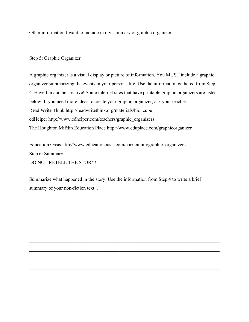Other information I want to include in my summary or graphic organizer:

## Step 5: Graphic Organizer

A graphic organizer is a visual display or picture of information. You MUST include a graphic organizer summarizing the events in your person's life. Use the information gathered from Step 4. Have fun and be creative! Some internet sites that have printable graphic organizers are listed below. If you need more ideas to create your graphic organizer, ask your teacher. Read Write Think http://readwritethink.org/materials/bio\_cube edHelper http://www.edhelper.com/teachers/graphic\_organizers The Houghton Mifflin Education Place http://www.eduplace.com/graphicorganizer

 $\mathcal{L}_\mathcal{L} = \{ \mathcal{L}_\mathcal{L} = \{ \mathcal{L}_\mathcal{L} = \{ \mathcal{L}_\mathcal{L} = \{ \mathcal{L}_\mathcal{L} = \{ \mathcal{L}_\mathcal{L} = \{ \mathcal{L}_\mathcal{L} = \{ \mathcal{L}_\mathcal{L} = \{ \mathcal{L}_\mathcal{L} = \{ \mathcal{L}_\mathcal{L} = \{ \mathcal{L}_\mathcal{L} = \{ \mathcal{L}_\mathcal{L} = \{ \mathcal{L}_\mathcal{L} = \{ \mathcal{L}_\mathcal{L} = \{ \mathcal{L}_\mathcal{$ 

Education Oasis http://www.educationoasis.com/curriculum/graphic\_organizers Step 6: Summary DO NOT RETELL THE STORY!

Summarize what happened in the story. Use the information from Step 4 to write a brief summary of your non-fiction text. .

 $\mathcal{L}_\mathcal{L} = \{ \mathcal{L}_\mathcal{L} = \{ \mathcal{L}_\mathcal{L} = \{ \mathcal{L}_\mathcal{L} = \{ \mathcal{L}_\mathcal{L} = \{ \mathcal{L}_\mathcal{L} = \{ \mathcal{L}_\mathcal{L} = \{ \mathcal{L}_\mathcal{L} = \{ \mathcal{L}_\mathcal{L} = \{ \mathcal{L}_\mathcal{L} = \{ \mathcal{L}_\mathcal{L} = \{ \mathcal{L}_\mathcal{L} = \{ \mathcal{L}_\mathcal{L} = \{ \mathcal{L}_\mathcal{L} = \{ \mathcal{L}_\mathcal{$ 

 $\mathcal{L}_\mathcal{L} = \{ \mathcal{L}_\mathcal{L} = \{ \mathcal{L}_\mathcal{L} = \{ \mathcal{L}_\mathcal{L} = \{ \mathcal{L}_\mathcal{L} = \{ \mathcal{L}_\mathcal{L} = \{ \mathcal{L}_\mathcal{L} = \{ \mathcal{L}_\mathcal{L} = \{ \mathcal{L}_\mathcal{L} = \{ \mathcal{L}_\mathcal{L} = \{ \mathcal{L}_\mathcal{L} = \{ \mathcal{L}_\mathcal{L} = \{ \mathcal{L}_\mathcal{L} = \{ \mathcal{L}_\mathcal{L} = \{ \mathcal{L}_\mathcal{$ 

 $\mathcal{L}_\mathcal{L} = \{ \mathcal{L}_\mathcal{L} = \{ \mathcal{L}_\mathcal{L} = \{ \mathcal{L}_\mathcal{L} = \{ \mathcal{L}_\mathcal{L} = \{ \mathcal{L}_\mathcal{L} = \{ \mathcal{L}_\mathcal{L} = \{ \mathcal{L}_\mathcal{L} = \{ \mathcal{L}_\mathcal{L} = \{ \mathcal{L}_\mathcal{L} = \{ \mathcal{L}_\mathcal{L} = \{ \mathcal{L}_\mathcal{L} = \{ \mathcal{L}_\mathcal{L} = \{ \mathcal{L}_\mathcal{L} = \{ \mathcal{L}_\mathcal{$ 

 $\mathcal{L}_\mathcal{L} = \{ \mathcal{L}_\mathcal{L} = \{ \mathcal{L}_\mathcal{L} = \{ \mathcal{L}_\mathcal{L} = \{ \mathcal{L}_\mathcal{L} = \{ \mathcal{L}_\mathcal{L} = \{ \mathcal{L}_\mathcal{L} = \{ \mathcal{L}_\mathcal{L} = \{ \mathcal{L}_\mathcal{L} = \{ \mathcal{L}_\mathcal{L} = \{ \mathcal{L}_\mathcal{L} = \{ \mathcal{L}_\mathcal{L} = \{ \mathcal{L}_\mathcal{L} = \{ \mathcal{L}_\mathcal{L} = \{ \mathcal{L}_\mathcal{$ 

 $\mathcal{L}_\mathcal{L} = \{ \mathcal{L}_\mathcal{L} = \{ \mathcal{L}_\mathcal{L} = \{ \mathcal{L}_\mathcal{L} = \{ \mathcal{L}_\mathcal{L} = \{ \mathcal{L}_\mathcal{L} = \{ \mathcal{L}_\mathcal{L} = \{ \mathcal{L}_\mathcal{L} = \{ \mathcal{L}_\mathcal{L} = \{ \mathcal{L}_\mathcal{L} = \{ \mathcal{L}_\mathcal{L} = \{ \mathcal{L}_\mathcal{L} = \{ \mathcal{L}_\mathcal{L} = \{ \mathcal{L}_\mathcal{L} = \{ \mathcal{L}_\mathcal{$ 

 $\mathcal{L}_\mathcal{L} = \{ \mathcal{L}_\mathcal{L} = \{ \mathcal{L}_\mathcal{L} = \{ \mathcal{L}_\mathcal{L} = \{ \mathcal{L}_\mathcal{L} = \{ \mathcal{L}_\mathcal{L} = \{ \mathcal{L}_\mathcal{L} = \{ \mathcal{L}_\mathcal{L} = \{ \mathcal{L}_\mathcal{L} = \{ \mathcal{L}_\mathcal{L} = \{ \mathcal{L}_\mathcal{L} = \{ \mathcal{L}_\mathcal{L} = \{ \mathcal{L}_\mathcal{L} = \{ \mathcal{L}_\mathcal{L} = \{ \mathcal{L}_\mathcal{$ 

 $\mathcal{L}_\mathcal{L} = \{ \mathcal{L}_\mathcal{L} = \{ \mathcal{L}_\mathcal{L} = \{ \mathcal{L}_\mathcal{L} = \{ \mathcal{L}_\mathcal{L} = \{ \mathcal{L}_\mathcal{L} = \{ \mathcal{L}_\mathcal{L} = \{ \mathcal{L}_\mathcal{L} = \{ \mathcal{L}_\mathcal{L} = \{ \mathcal{L}_\mathcal{L} = \{ \mathcal{L}_\mathcal{L} = \{ \mathcal{L}_\mathcal{L} = \{ \mathcal{L}_\mathcal{L} = \{ \mathcal{L}_\mathcal{L} = \{ \mathcal{L}_\mathcal{$ 

 $\mathcal{L}_\mathcal{L} = \{ \mathcal{L}_\mathcal{L} = \{ \mathcal{L}_\mathcal{L} = \{ \mathcal{L}_\mathcal{L} = \{ \mathcal{L}_\mathcal{L} = \{ \mathcal{L}_\mathcal{L} = \{ \mathcal{L}_\mathcal{L} = \{ \mathcal{L}_\mathcal{L} = \{ \mathcal{L}_\mathcal{L} = \{ \mathcal{L}_\mathcal{L} = \{ \mathcal{L}_\mathcal{L} = \{ \mathcal{L}_\mathcal{L} = \{ \mathcal{L}_\mathcal{L} = \{ \mathcal{L}_\mathcal{L} = \{ \mathcal{L}_\mathcal{$ 

 $\mathcal{L}_\mathcal{L} = \{ \mathcal{L}_\mathcal{L} = \{ \mathcal{L}_\mathcal{L} = \{ \mathcal{L}_\mathcal{L} = \{ \mathcal{L}_\mathcal{L} = \{ \mathcal{L}_\mathcal{L} = \{ \mathcal{L}_\mathcal{L} = \{ \mathcal{L}_\mathcal{L} = \{ \mathcal{L}_\mathcal{L} = \{ \mathcal{L}_\mathcal{L} = \{ \mathcal{L}_\mathcal{L} = \{ \mathcal{L}_\mathcal{L} = \{ \mathcal{L}_\mathcal{L} = \{ \mathcal{L}_\mathcal{L} = \{ \mathcal{L}_\mathcal{$ 

 $\mathcal{L}_\mathcal{L} = \{ \mathcal{L}_\mathcal{L} = \{ \mathcal{L}_\mathcal{L} = \{ \mathcal{L}_\mathcal{L} = \{ \mathcal{L}_\mathcal{L} = \{ \mathcal{L}_\mathcal{L} = \{ \mathcal{L}_\mathcal{L} = \{ \mathcal{L}_\mathcal{L} = \{ \mathcal{L}_\mathcal{L} = \{ \mathcal{L}_\mathcal{L} = \{ \mathcal{L}_\mathcal{L} = \{ \mathcal{L}_\mathcal{L} = \{ \mathcal{L}_\mathcal{L} = \{ \mathcal{L}_\mathcal{L} = \{ \mathcal{L}_\mathcal{$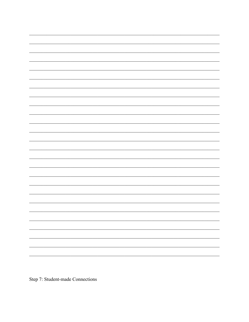

Step 7: Student-made Connections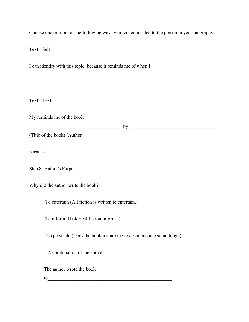Choose one or more of the following ways you feel connected to the person in your biography.

Text - Self

I can identify with this topic, because it reminds me of when I

Text - Text

My reminds me of the book

 $\sim$  by  $\sim$ 

 $\mathcal{L}_\mathcal{L} = \{ \mathcal{L}_\mathcal{L} = \{ \mathcal{L}_\mathcal{L} = \{ \mathcal{L}_\mathcal{L} = \{ \mathcal{L}_\mathcal{L} = \{ \mathcal{L}_\mathcal{L} = \{ \mathcal{L}_\mathcal{L} = \{ \mathcal{L}_\mathcal{L} = \{ \mathcal{L}_\mathcal{L} = \{ \mathcal{L}_\mathcal{L} = \{ \mathcal{L}_\mathcal{L} = \{ \mathcal{L}_\mathcal{L} = \{ \mathcal{L}_\mathcal{L} = \{ \mathcal{L}_\mathcal{L} = \{ \mathcal{L}_\mathcal{$ 

(Title of the book) (Author)

because\_\_\_\_\_\_\_\_\_\_\_\_\_\_\_\_\_\_\_\_\_\_\_\_\_\_\_\_\_\_\_\_\_\_\_\_\_\_\_\_\_\_\_\_\_\_\_\_\_\_\_\_\_\_\_\_\_\_\_\_\_\_\_\_\_\_\_\_\_\_\_.

Step 8: Author's Purpose

Why did the author write the book?

To entertain (All fiction is written to entertain.)

To inform (Historical fiction informs.)

To persuade (Does the book inspire me to do or become something?)

A combination of the above

The author wrote the book

to the state of  $\mathcal{L}$  is the state of  $\mathcal{L}$  . The state of  $\mathcal{L}$  is the state of  $\mathcal{L}$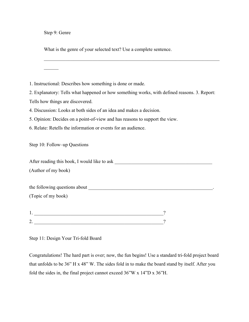Step 9: Genre

 $\mathcal{L}$ 

What is the genre of your selected text? Use a complete sentence.

1. Instructional: Describes how something is done or made.

2. Explanatory: Tells what happened or how something works, with defined reasons. 3. Report:

 $\mathcal{L}_\text{max}$  , and the contribution of the contribution of the contribution of the contribution of the contribution of the contribution of the contribution of the contribution of the contribution of the contribution of t

Tells how things are discovered.

4. Discussion: Looks at both sides of an idea and makes a decision.

5. Opinion: Decides on a point-of-view and has reasons to support the view.

6. Relate: Retells the information or events for an audience.

Step 10: Follow–up Questions

After reading this book, I would like to ask \_\_\_\_\_\_\_\_\_\_\_\_\_\_\_\_\_\_\_\_\_\_\_\_\_\_\_\_\_\_\_\_\_\_\_\_\_\_\_\_

(Author of my book)

the following questions about \_\_\_\_\_\_\_\_\_\_\_\_\_\_\_\_\_\_\_\_\_\_\_\_\_\_\_\_\_\_\_\_\_\_\_\_\_\_\_\_\_\_\_\_\_\_\_\_\_\_\_.

(Topic of my book)

| - |  |
|---|--|

Step 11: Design Your Tri-fold Board

Congratulations! The hard part is over; now, the fun begins! Use a standard tri-fold project board that unfolds to be 36" H x 48" W. The sides fold in to make the board stand by itself. After you fold the sides in, the final project cannot exceed 36"W x 14"D x 36"H.